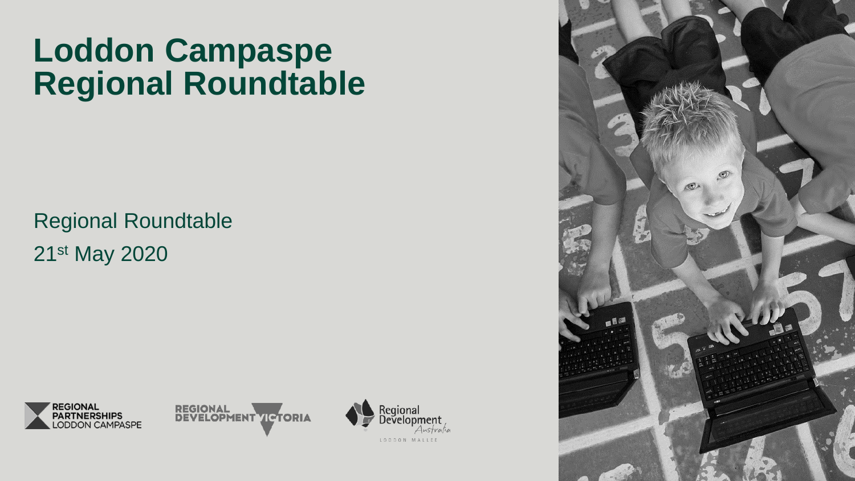# **Loddon Campaspe Regional Roundtable**

Regional Roundtable 21st May 2020







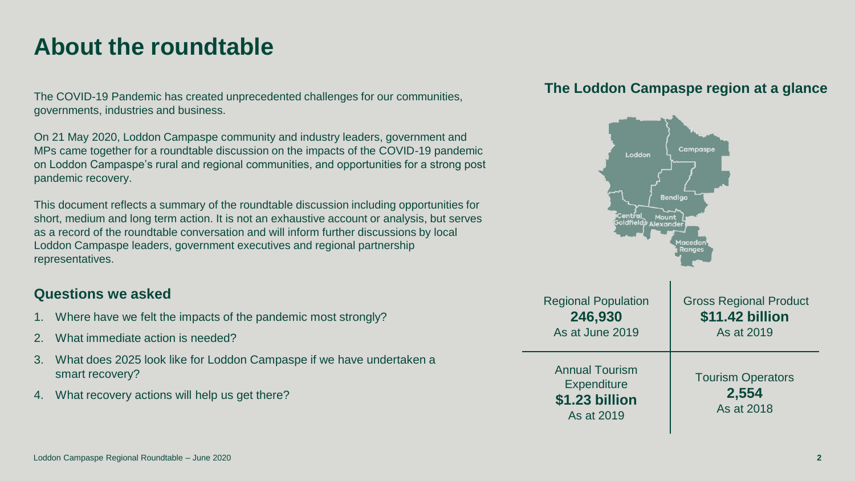### **About the roundtable**

The COVID-19 Pandemic has created unprecedented challenges for our communities, governments, industries and business.

On 21 May 2020, Loddon Campaspe community and industry leaders, government and MPs came together for a roundtable discussion on the impacts of the COVID-19 pandemic on Loddon Campaspe's rural and regional communities, and opportunities for a strong post pandemic recovery.

This document reflects a summary of the roundtable discussion including opportunities for short, medium and long term action. It is not an exhaustive account or analysis, but serves as a record of the roundtable conversation and will inform further discussions by local Loddon Campaspe leaders, government executives and regional partnership representatives.

### **Questions we asked**

- 1. Where have we felt the impacts of the pandemic most strongly?
- 2. What immediate action is needed?
- 3. What does 2025 look like for Loddon Campaspe if we have undertaken a smart recovery?
- 4. What recovery actions will help us get there?

### **The Loddon Campaspe region at a glance**

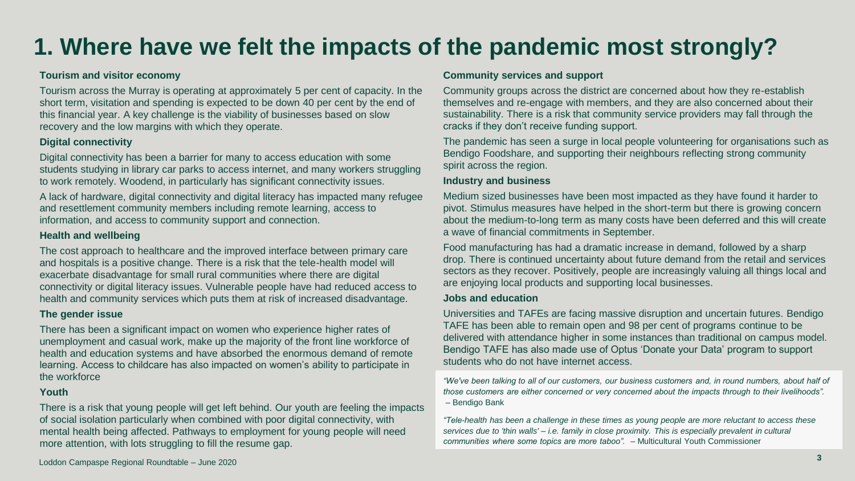## **1. Where have we felt the impacts of the pandemic most strongly?**

#### **Tourism and visitor economy**

Tourism across the Murray is operating at approximately 5 per cent of capacity. In the short term, visitation and spending is expected to be down 40 per cent by the end of this financial year. A key challenge is the viability of businesses based on slow recovery and the low margins with which they operate.

#### **Digital connectivity**

Digital connectivity has been a barrier for many to access education with some students studying in library car parks to access internet, and many workers struggling to work remotely. Woodend, in particularly has significant connectivity issues.

A lack of hardware, digital connectivity and digital literacy has impacted many refugee and resettlement community members including remote learning, access to information, and access to community support and connection.

#### **Health and wellbeing**

The cost approach to healthcare and the improved interface between primary care and hospitals is a positive change. There is a risk that the tele-health model will exacerbate disadvantage for small rural communities where there are digital connectivity or digital literacy issues. Vulnerable people have had reduced access to health and community services which puts them at risk of increased disadvantage.

#### **The gender issue**

There has been a significant impact on women who experience higher rates of unemployment and casual work, make up the majority of the front line workforce of health and education systems and have absorbed the enormous demand of remote learning. Access to childcare has also impacted on women's ability to participate in the workforce

#### **Youth**

There is a risk that young people will get left behind. Our youth are feeling the impacts of social isolation particularly when combined with poor digital connectivity, with mental health being affected. Pathways to employment for young people will need more attention, with lots struggling to fill the resume gap.

#### **Community services and support**

Community groups across the district are concerned about how they re-establish themselves and re-engage with members, and they are also concerned about their sustainability. There is a risk that community service providers may fall through the cracks if they don't receive funding support.

The pandemic has seen a surge in local people volunteering for organisations such as Bendigo Foodshare, and supporting their neighbours reflecting strong community spirit across the region.

#### **Industry and business**

Medium sized businesses have been most impacted as they have found it harder to pivot. Stimulus measures have helped in the short-term but there is growing concern about the medium-to-long term as many costs have been deferred and this will create a wave of financial commitments in September.

Food manufacturing has had a dramatic increase in demand, followed by a sharp drop. There is continued uncertainty about future demand from the retail and services sectors as they recover. Positively, people are increasingly valuing all things local and are enjoying local products and supporting local businesses.

#### **Jobs and education**

Universities and TAFEs are facing massive disruption and uncertain futures. Bendigo TAFE has been able to remain open and 98 per cent of programs continue to be delivered with attendance higher in some instances than traditional on campus model. Bendigo TAFE has also made use of Optus 'Donate your Data' program to support students who do not have internet access.

*"We've been talking to all of our customers, our business customers and, in round numbers, about half of those customers are either concerned or very concerned about the impacts through to their livelihoods".* – Bendigo Bank

*"Tele-health has been a challenge in these times as young people are more reluctant to access these services due to 'thin walls' – i.e. family in close proximity. This is especially prevalent in cultural communities where some topics are more taboo". –* Multicultural Youth Commissioner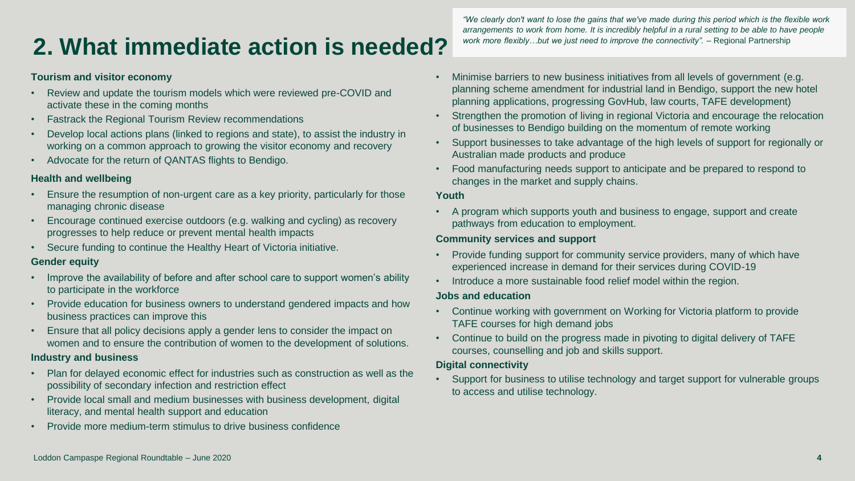## **2. What immediate action is needed?**

#### **Tourism and visitor economy**

- Review and update the tourism models which were reviewed pre-COVID and activate these in the coming months
- Fastrack the Regional Tourism Review recommendations
- Develop local actions plans (linked to regions and state), to assist the industry in working on a common approach to growing the visitor economy and recovery
- Advocate for the return of QANTAS flights to Bendigo.

#### **Health and wellbeing**

- Ensure the resumption of non-urgent care as a key priority, particularly for those managing chronic disease
- Encourage continued exercise outdoors (e.g. walking and cycling) as recovery progresses to help reduce or prevent mental health impacts
- Secure funding to continue the Healthy Heart of Victoria initiative.

#### **Gender equity**

- Improve the availability of before and after school care to support women's ability to participate in the workforce
- Provide education for business owners to understand gendered impacts and how business practices can improve this
- Ensure that all policy decisions apply a gender lens to consider the impact on women and to ensure the contribution of women to the development of solutions.

#### **Industry and business**

- Plan for delayed economic effect for industries such as construction as well as the possibility of secondary infection and restriction effect
- Provide local small and medium businesses with business development, digital literacy, and mental health support and education
- Provide more medium-term stimulus to drive business confidence

*"We clearly don't want to lose the gains that we've made during this period which is the flexible work arrangements to work from home. It is incredibly helpful in a rural setting to be able to have people*  work more flexibly...but we just need to improve the connectivity". - Regional Partnership

- Minimise barriers to new business initiatives from all levels of government (e.g. planning scheme amendment for industrial land in Bendigo, support the new hotel planning applications, progressing GovHub, law courts, TAFE development)
- Strengthen the promotion of living in regional Victoria and encourage the relocation of businesses to Bendigo building on the momentum of remote working
- Support businesses to take advantage of the high levels of support for regionally or Australian made products and produce
- Food manufacturing needs support to anticipate and be prepared to respond to changes in the market and supply chains.

#### **Youth**

• A program which supports youth and business to engage, support and create pathways from education to employment.

#### **Community services and support**

- Provide funding support for community service providers, many of which have experienced increase in demand for their services during COVID-19
- Introduce a more sustainable food relief model within the region.

#### **Jobs and education**

- Continue working with government on Working for Victoria platform to provide TAFE courses for high demand jobs
- Continue to build on the progress made in pivoting to digital delivery of TAFE courses, counselling and job and skills support.

#### **Digital connectivity**

• Support for business to utilise technology and target support for vulnerable groups to access and utilise technology.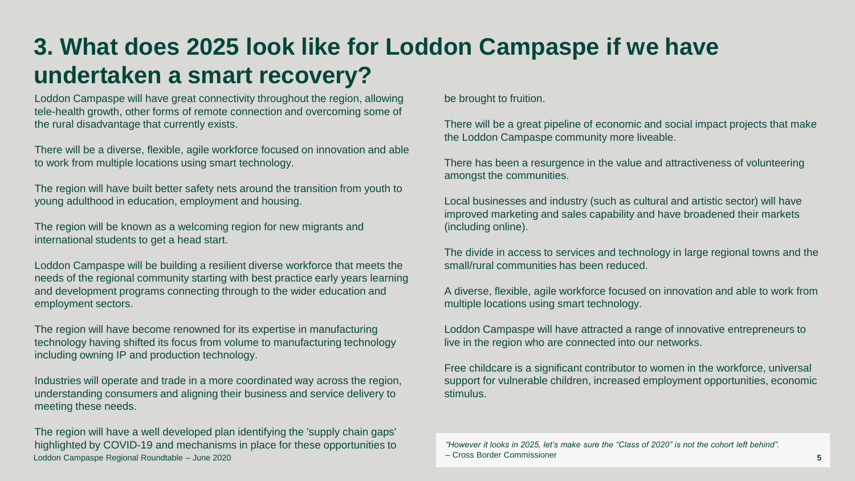## **3. What does 2025 look like for Loddon Campaspe if we have undertaken a smart recovery?**

Loddon Campaspe will have great connectivity throughout the region, allowing tele-health growth, other forms of remote connection and overcoming some of the rural disadvantage that currently exists.

There will be a diverse, flexible, agile workforce focused on innovation and able to work from multiple locations using smart technology.

The region will have built better safety nets around the transition from youth to young adulthood in education, employment and housing.

The region will be known as a welcoming region for new migrants and international students to get a head start.

Loddon Campaspe will be building a resilient diverse workforce that meets the needs of the regional community starting with best practice early years learning and development programs connecting through to the wider education and employment sectors.

The region will have become renowned for its expertise in manufacturing technology having shifted its focus from volume to manufacturing technology including owning IP and production technology.

Industries will operate and trade in a more coordinated way across the region, understanding consumers and aligning their business and service delivery to meeting these needs.

Loddon Campaspe Regional Roundtable – June 2020 The region will have a well developed plan identifying the 'supply chain gaps' highlighted by COVID-19 and mechanisms in place for these opportunities to be brought to fruition.

There will be a great pipeline of economic and social impact projects that make the Loddon Campaspe community more liveable.

There has been a resurgence in the value and attractiveness of volunteering amongst the communities.

Local businesses and industry (such as cultural and artistic sector) will have improved marketing and sales capability and have broadened their markets (including online).

The divide in access to services and technology in large regional towns and the small/rural communities has been reduced.

A diverse, flexible, agile workforce focused on innovation and able to work from multiple locations using smart technology.

Loddon Campaspe will have attracted a range of innovative entrepreneurs to live in the region who are connected into our networks.

Free childcare is a significant contributor to women in the workforce, universal support for vulnerable children, increased employment opportunities, economic stimulus.

*"However it looks in 2025, let's make sure the "Class of 2020" is not the cohort left behind".*  – Cross Border Commissioner **5**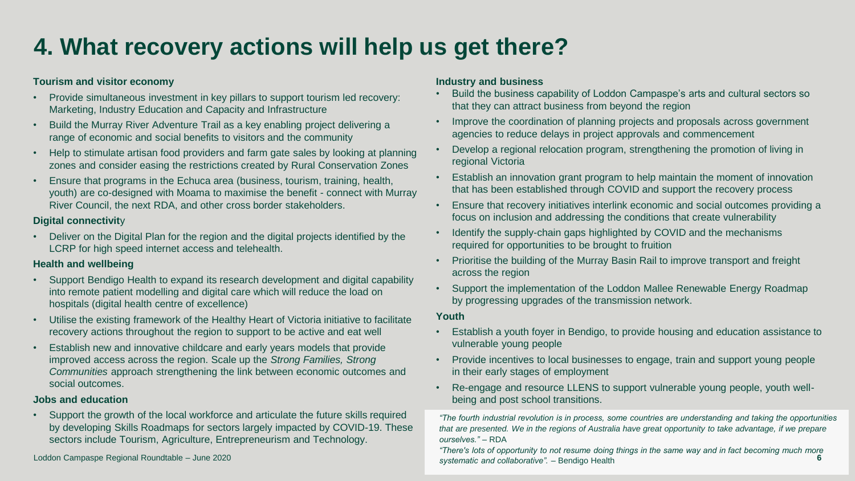## **4. What recovery actions will help us get there?**

#### **Tourism and visitor economy**

- Provide simultaneous investment in key pillars to support tourism led recovery: Marketing, Industry Education and Capacity and Infrastructure
- Build the Murray River Adventure Trail as a key enabling project delivering a range of economic and social benefits to visitors and the community
- Help to stimulate artisan food providers and farm gate sales by looking at planning zones and consider easing the restrictions created by Rural Conservation Zones
- Ensure that programs in the Echuca area (business, tourism, training, health, youth) are co-designed with Moama to maximise the benefit - connect with Murray River Council, the next RDA, and other cross border stakeholders.

#### **Digital connectivit**y

• Deliver on the Digital Plan for the region and the digital projects identified by the LCRP for high speed internet access and telehealth.

#### **Health and wellbeing**

- Support Bendigo Health to expand its research development and digital capability into remote patient modelling and digital care which will reduce the load on hospitals (digital health centre of excellence)
- Utilise the existing framework of the Healthy Heart of Victoria initiative to facilitate recovery actions throughout the region to support to be active and eat well
- Establish new and innovative childcare and early years models that provide improved access across the region. Scale up the *Strong Families, Strong Communities* approach strengthening the link between economic outcomes and social outcomes.

#### **Jobs and education**

• Support the growth of the local workforce and articulate the future skills required by developing Skills Roadmaps for sectors largely impacted by COVID-19. These sectors include Tourism, Agriculture, Entrepreneurism and Technology.

*systematic and collaborative". –* Bendigo Health Loddon Campaspe Regional Roundtable – June 2020 **6**

#### **Industry and business**

- Build the business capability of Loddon Campaspe's arts and cultural sectors so that they can attract business from beyond the region
- Improve the coordination of planning projects and proposals across government agencies to reduce delays in project approvals and commencement
- Develop a regional relocation program, strengthening the promotion of living in regional Victoria
- Establish an innovation grant program to help maintain the moment of innovation that has been established through COVID and support the recovery process
- Ensure that recovery initiatives interlink economic and social outcomes providing a focus on inclusion and addressing the conditions that create vulnerability
- Identify the supply-chain gaps highlighted by COVID and the mechanisms required for opportunities to be brought to fruition
- Prioritise the building of the Murray Basin Rail to improve transport and freight across the region
- Support the implementation of the Loddon Mallee Renewable Energy Roadmap by progressing upgrades of the transmission network.

#### **Youth**

- Establish a youth foyer in Bendigo, to provide housing and education assistance to vulnerable young people
- Provide incentives to local businesses to engage, train and support young people in their early stages of employment
- Re-engage and resource LLENS to support vulnerable young people, youth wellbeing and post school transitions.

*"The fourth industrial revolution is in process, some countries are understanding and taking the opportunities that are presented. We in the regions of Australia have great opportunity to take advantage, if we prepare ourselves."* – RDA

*"There's lots of opportunity to not resume doing things in the same way and in fact becoming much more*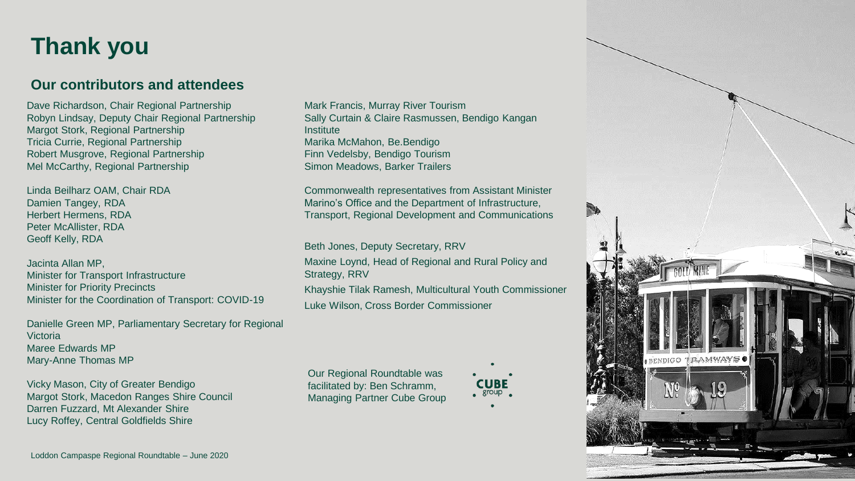### **Thank you**

### **Our contributors and attendees**

Dave Richardson, Chair Regional Partnership Robyn Lindsay, Deputy Chair Regional Partnership Margot Stork, Regional Partnership Tricia Currie, Regional Partnership Robert Musgrove, Regional Partnership Mel McCarthy, Regional Partnership

Linda Beilharz OAM, Chair RDA Damien Tangey, RDA Herbert Hermens, RDA Peter McAllister, RDA Geoff Kelly, RDA

Jacinta Allan MP, Minister for Transport Infrastructure Minister for Priority Precincts Minister for the Coordination of Transport: COVID -19

Danielle Green MP, Parliamentary Secretary for Regional Victoria Maree Edwards MP Mary -Anne Thomas MP

Vicky Mason, City of Greater Bendigo Margot Stork, Macedon Ranges Shire Council Darren Fuzzard, Mt Alexander Shire Lucy Roffey, Central Goldfields Shire

Mark Francis, Murray River Tourism Sally Curtain & Claire Rasmussen, Bendigo Kangan **Institute** Marika McMahon, Be.Bendigo Finn Vedelsby, Bendigo Tourism Simon Meadows, Barker Trailers

Commonwealth representatives from Assistant Minister Marino's Office and the Department of Infrastructure, Transport, Regional Development and Communications

Beth Jones, Deputy Secretary, RRV

Maxine Loynd, Head of Regional and Rural Policy and Strategy, RRV Khayshie Tilak Ramesh, Multicultural Youth Commissioner Luke Wilson, Cross Border Commissioner

Our Regional Roundtable was facilitated by: Ben Schramm, Managing Partner Cube Group